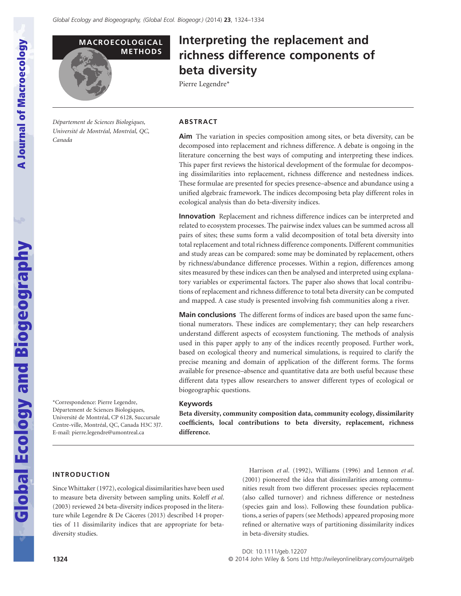



**Interpreting the replacement and richness difference components of beta diversity**

Pierre Legendre\*

*Département de Sciences Biologiques, Université de Montréal, Montréal, QC, Canada*

### **ABSTRACT**

**Aim** The variation in species composition among sites, or beta diversity, can be decomposed into replacement and richness difference. A debate is ongoing in the literature concerning the best ways of computing and interpreting these indices. This paper first reviews the historical development of the formulae for decomposing dissimilarities into replacement, richness difference and nestedness indices. These formulae are presented for species presence–absence and abundance using a unified algebraic framework. The indices decomposing beta play different roles in ecological analysis than do beta-diversity indices.

**Innovation** Replacement and richness difference indices can be interpreted and related to ecosystem processes. The pairwise index values can be summed across all pairs of sites; these sums form a valid decomposition of total beta diversity into total replacement and total richness difference components. Different communities and study areas can be compared: some may be dominated by replacement, others by richness/abundance difference processes. Within a region, differences among sites measured by these indices can then be analysed and interpreted using explanatory variables or experimental factors. The paper also shows that local contributions of replacement and richness difference to total beta diversity can be computed and mapped. A case study is presented involving fish communities along a river.

**Main conclusions** The different forms of indices are based upon the same functional numerators. These indices are complementary; they can help researchers understand different aspects of ecosystem functioning. The methods of analysis used in this paper apply to any of the indices recently proposed. Further work, based on ecological theory and numerical simulations, is required to clarify the precise meaning and domain of application of the different forms. The forms available for presence–absence and quantitative data are both useful because these different data types allow researchers to answer different types of ecological or biogeographic questions.

#### **Keywords**

**Beta diversity, community composition data, community ecology, dissimilarity coefficients, local contributions to beta diversity, replacement, richness difference.**

## **INTRODUCTION**

\*Correspondence: Pierre Legendre, Département de Sciences Biologiques, Université de Montréal, CP 6128, Succursale Centre-ville, Montréal, QC, Canada H3C 3J7. E-mail: pierre.legendre@umontreal.ca

Since Whittaker (1972), ecological dissimilarities have been used to measure beta diversity between sampling units. Koleff *et al*. (2003) reviewed 24 beta-diversity indices proposed in the literature while Legendre & De Cáceres (2013) described 14 properties of 11 dissimilarity indices that are appropriate for betadiversity studies.

Harrison *et al*. (1992), Williams (1996) and Lennon *et al*. (2001) pioneered the idea that dissimilarities among communities result from two different processes: species replacement (also called turnover) and richness difference or nestedness (species gain and loss). Following these foundation publications, a series of papers (see Methods) appeared proposing more refined or alternative ways of partitioning dissimilarity indices in beta-diversity studies.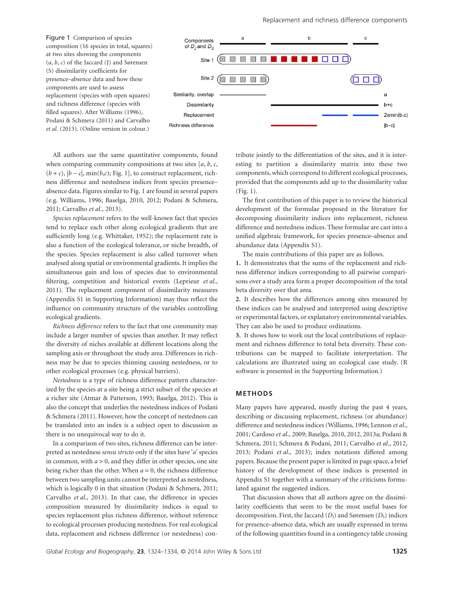

All authors use the same quantitative components, found when comparing community compositions at two sites [*a*, *b*, *c*,  $(b + c)$ ,  $|b - c|$ , min $(b, c)$ ; Fig. 1], to construct replacement, richness difference and nestedness indices from species presence– absence data. Figures similar to Fig. 1 are found in several papers (e.g. Williams, 1996; Baselga, 2010, 2012; Podani & Schmera, 2011; Carvalho *et al*., 2013).

*Species replacement* refers to the well-known fact that species tend to replace each other along ecological gradients that are sufficiently long (e.g. Whittaker, 1952); the replacement rate is also a function of the ecological tolerance, or niche breadth, of the species. Species replacement is also called turnover when analysed along spatial or environmental gradients. It implies the simultaneous gain and loss of species due to environmental filtering, competition and historical events (Leprieur *et al*., 2011). The replacement component of dissimilarity measures (Appendix S1 in Supporting Information) may thus reflect the influence on community structure of the variables controlling ecological gradients.

*Richness difference* refers to the fact that one community may include a larger number of species than another. It may reflect the diversity of niches available at different locations along the sampling axis or throughout the study area. Differences in richness may be due to species thinning causing nestedness, or to other ecological processes (e.g. physical barriers).

*Nestedness* is a type of richness difference pattern characterized by the species at a site being a strict subset of the species at a richer site (Atmar & Patterson, 1993; Baselga, 2012). This is also the concept that underlies the nestedness indices of Podani & Schmera (2011). However, how the concept of nestedness can be translated into an index is a subject open to discussion as there is no unequivocal way to do it.

In a comparison of two sites, richness difference can be interpreted as nestedness *sensu stricto* only if the sites have '*a*' species in common, with  $a > 0$ , and they differ in other species, one site being richer than the other. When  $a = 0$ , the richness difference between two sampling units cannot be interpreted as nestedness, which is logically 0 in that situation (Podani & Schmera, 2011; Carvalho *et al*., 2013). In that case, the difference in species composition measured by dissimilarity indices is equal to species replacement plus richness difference, without reference to ecological processes producing nestedness. For real ecological data, replacement and richness difference (or nestedness) contribute jointly to the differentiation of the sites, and it is interesting to partition a dissimilarity matrix into these two components, which correspond to different ecological processes, provided that the components add up to the dissimilarity value (Fig. 1).

The first contribution of this paper is to review the historical development of the formulae proposed in the literature for decomposing dissimilarity indices into replacement, richness difference and nestedness indices. These formulae are cast into a unified algebraic framework, for species presence–absence and abundance data (Appendix S1).

The main contributions of this paper are as follows.

**1.** It demonstrates that the sums of the replacement and richness difference indices corresponding to all pairwise comparisons over a study area form a proper decomposition of the total beta diversity over that area.

**2.** It describes how the differences among sites measured by these indices can be analysed and interpreted using descriptive or experimental factors, or explanatory environmental variables. They can also be used to produce ordinations.

**3.** It shows how to work out the local contributions of replacement and richness difference to total beta diversity. These contributions can be mapped to facilitate interpretation. The calculations are illustrated using an ecological case study. (R software is presented in the Supporting Information.)

#### **METHODS**

Many papers have appeared, mostly during the past 4 years, describing or discussing replacement, richness (or abundance) difference and nestedness indices (Williams, 1996; Lennon *et al*., 2001; Cardoso *et al*., 2009; Baselga, 2010, 2012, 2013a; Podani & Schmera, 2011; Schmera & Podani, 2011; Carvalho *et al*., 2012, 2013; Podani *et al*., 2013); index notations differed among papers. Because the present paper is limited in page space, a brief history of the development of these indices is presented in Appendix S1 together with a summary of the criticisms formulated against the suggested indices.

That discussion shows that all authors agree on the dissimilarity coefficients that seem to be the most useful bases for decomposition. First, the Jaccard (*D*<sub>J</sub>) and Sørensen (*D*<sub>S</sub>) indices for presence–absence data, which are usually expressed in terms of the following quantities found in a contingency table crossing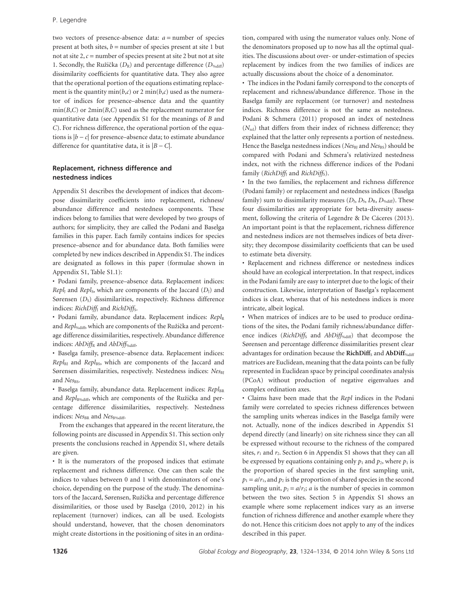two vectors of presence-absence data:  $a =$  number of species present at both sites,  $b =$  number of species present at site 1 but not at site 2,*c* = number of species present at site 2 but not at site 1. Secondly, the Ružička  $(D_R)$  and percentage difference  $(D_{\text{yddiff}})$ dissimilarity coefficients for quantitative data. They also agree that the operational portion of the equations estimating replacement is the quantity min( $b$ , $c$ ) or 2 min( $b$ , $c$ ) used as the numerator of indices for presence–absence data and the quantity  $min(B,C)$  or  $2min(B,C)$  used as the replacement numerator for quantitative data (see Appendix S1 for the meanings of *B* and *C*). For richness difference, the operational portion of the equations is  $|b - c|$  for presence–absence data; to estimate abundance difference for quantitative data, it is  $|B − C|$ .

#### **Replacement, richness difference and nestedness indices**

Appendix S1 describes the development of indices that decompose dissimilarity coefficients into replacement, richness/ abundance difference and nestedness components. These indices belong to families that were developed by two groups of authors; for simplicity, they are called the Podani and Baselga families in this paper. Each family contains indices for species presence–absence and for abundance data. Both families were completed by new indices described in Appendix S1. The indices are designated as follows in this paper (formulae shown in Appendix S1, Table S1.1):

• Podani family, presence–absence data. Replacement indices:  $Repl<sub>J</sub>$  and *Repl<sub>s</sub>*, which are components of the Jaccard ( $D<sub>J</sub>$ ) and Sørensen (*D<sub>S</sub>*) dissimilarities, respectively. Richness difference indices: *RichDiff*<sub>J</sub> and *RichDiff*<sub>S</sub>.

• Podani family, abundance data. Replacement indices: Repl<sub>R</sub> and *Repl*<sub>%diff</sub>, which are components of the Ružička and percentage difference dissimilarities, respectively. Abundance difference indices: *AbDiff*<sub>R</sub> and *AbDiff*<sub>%diff</sub>.

• Baselga family, presence–absence data. Replacement indices: *Repl<sub>BJ</sub>* and *Repl<sub>BS</sub>*, which are components of the Jaccard and Sørensen dissimilarities, respectively. Nestedness indices: *Nes*<sub>BJ</sub> and *Nes*<sub>BS</sub>.

• Baselga family, abundance data. Replacement indices: Repl<sub>BR</sub> and *Repl*<sub>B%diff</sub>, which are components of the Ružička and percentage difference dissimilarities, respectively. Nestedness indices: *Nes*<sub>BR</sub> and *Nes*<sub>B%diff</sub>.

From the exchanges that appeared in the recent literature, the following points are discussed in Appendix S1. This section only presents the conclusions reached in Appendix S1, where details are given.

• It is the numerators of the proposed indices that estimate replacement and richness difference. One can then scale the indices to values between 0 and 1 with denominators of one's choice, depending on the purpose of the study. The denominators of the Jaccard, Sørensen, Ružička and percentage difference dissimilarities, or those used by Baselga (2010, 2012) in his replacement (turnover) indices, can all be used. Ecologists should understand, however, that the chosen denominators might create distortions in the positioning of sites in an ordination, compared with using the numerator values only. None of the denominators proposed up to now has all the optimal qualities. The discussions about over- or under-estimation of species replacement by indices from the two families of indices are actually discussions about the choice of a denominator.

• The indices in the Podani family correspond to the concepts of replacement and richness/abundance difference. Those in the Baselga family are replacement (or turnover) and nestedness indices. Richness difference is not the same as nestedness. Podani & Schmera (2011) proposed an index of nestedness (*N*rel) that differs from their index of richness difference; they explained that the latter only represents a portion of nestedness. Hence the Baselga nestedness indices (*Nes*<sub>BI</sub> and *Nes*<sub>BS</sub>) should be compared with Podani and Schmera's relativized nestedness index, not with the richness difference indices of the Podani family (*RichDiff*<sub>I</sub> and *RichDiff*<sub>S</sub>).

• In the two families, the replacement and richness difference (Podani family) or replacement and nestedness indices (Baselga family) sum to dissimilarity measures  $(D_I, D_S, D_R, D_{\text{yddiff}})$ . These four dissimilarities are appropriate for beta-diversity assessment, following the criteria of Legendre & De Cáceres (2013). An important point is that the replacement, richness difference and nestedness indices are not themselves indices of beta diversity; they decompose dissimilarity coefficients that can be used to estimate beta diversity.

• Replacement and richness difference or nestedness indices should have an ecological interpretation. In that respect, indices in the Podani family are easy to interpret due to the logic of their construction. Likewise, interpretation of Baselga's replacement indices is clear, whereas that of his nestedness indices is more intricate, albeit logical.

• When matrices of indices are to be used to produce ordinations of the sites, the Podani family richness/abundance difference indices (*RichDiff<sub>S</sub>* and *AbDiff*<sub>%diff</sub>) that decompose the Sørensen and percentage difference dissimilarities present clear advantages for ordination because the **RichDiff**<sub>S</sub> and **AbDiff**<sub>%diff</sub> matrices are Euclidean, meaning that the data points can be fully represented in Euclidean space by principal coordinates analysis (PCoA) without production of negative eigenvalues and complex ordination axes.

• Claims have been made that the *Repl* indices in the Podani family were correlated to species richness differences between the sampling units whereas indices in the Baselga family were not. Actually, none of the indices described in Appendix S1 depend directly (and linearly) on site richness since they can all be expressed without recourse to the richness of the compared sites,  $r_1$  and  $r_2$ . Section 6 in Appendix S1 shows that they can all be expressed by equations containing only  $p_1$  and  $p_2$ , where  $p_1$  is the proportion of shared species in the first sampling unit,  $p_1 = a/r_1$ , and  $p_2$  is the proportion of shared species in the second sampling unit,  $p_2 = a/r_2$ ; *a* is the number of species in common between the two sites. Section 5 in Appendix S1 shows an example where some replacement indices vary as an inverse function of richness difference and another example where they do not. Hence this criticism does not apply to any of the indices described in this paper.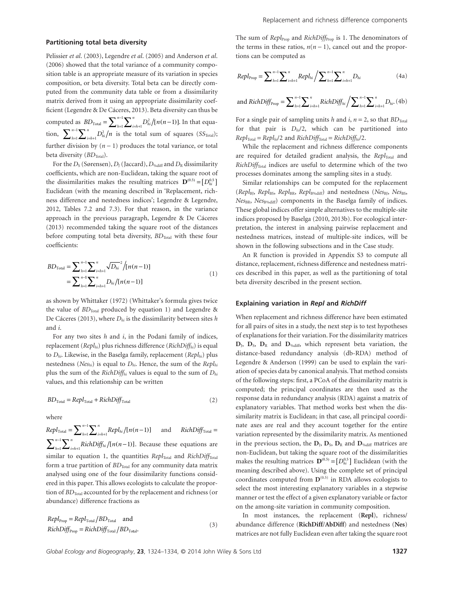#### **Partitioning total beta diversity**

Pelissier *et al*. (2003), Legendre *et al*. (2005) and Anderson *et al*. (2006) showed that the total variance of a community composition table is an appropriate measure of its variation in species composition, or beta diversity. Total beta can be directly computed from the community data table or from a dissimilarity matrix derived from it using an appropriate dissimilarity coefficient (Legendre & De Cáceres, 2013). Beta diversity can thus be computed as  $BD_{\text{Total}} = \sum_{h=1}^{n-1} \sum_{i=h+1}^{n} D_{hi}^2 / [n(n)]$ *h*  $\gamma_{\text{Total}} = \sum_{h=1}^{n-1} \sum_{i=h+1}^{n} D_{hi}^2 / [n(n-1)]$  $\sum_{i=1}^{n} \sum_{j=1}^{n} \frac{D_{hi}^2}{n(n-1)}$ . In that equation,  $\sum_{h=1}^{n-1} \sum_{i=h+1}^{n} D_{hi}^2 / n$ *h*  $n-1$   $\sum$   $n$   $\sum$   $n^2$  $\sum_{i=h+1}$ 1  $_{i=1}$   $\leftarrow$   $_{i=h+}$  $\sum_{h=1}^{n-1}\sum_{i=h+1}^{n}D_{hi}^2/n$  is the total sum of squares (*SS*<sub>Total</sub>); further division by  $(n - 1)$  produces the total variance, or total beta diversity (*BD*<sub>Total</sub>).

For the  $D_S$  (Sørensen),  $D_J$  (Jaccard),  $D_{\text{yddiff}}$  and  $D_R$  dissimilarity coefficients, which are non-Euclidean, taking the square root of the dissimilarities makes the resulting matrices  $\mathbf{D}^{(0.5)} = [D_{hi}^{0.5}]$ Euclidean (with the meaning described in 'Replacement, richness difference and nestedness indices'; Legendre & Legendre, 2012, Tables 7.2 and 7.3). For that reason, in the variance approach in the previous paragraph, Legendre & De Cáceres (2013) recommended taking the square root of the distances before computing total beta diversity,  $BD$ <sub>Total</sub> with these four coefficients:

$$
BD_{\text{Total}} = \sum_{h=1}^{n-1} \sum_{i=h+1}^{n} \sqrt{D_{hi}}^2 / [n(n-1)]
$$
  
= 
$$
\sum_{h=1}^{n-1} \sum_{i=h+1}^{n} D_{hi} / [n(n-1)]
$$
 (1)

as shown by Whittaker (1972) (Whittaker's formula gives twice the value of *BD*<sub>Total</sub> produced by equation 1) and Legendre & De Cáceres (2013), where *Dhi* is the dissimilarity between sites *h* and *i*.

For any two sites *h* and *i*, in the Podani family of indices, replacement (*Replhi*) plus richness difference (*RichDiffhi*) is equal to *Dhi*. Likewise, in the Baselga family, replacement (*Replhi*) plus nestedness (*Neshi*) is equal to *Dhi*. Hence, the sum of the *Replhi* plus the sum of the *RichDiffhi* values is equal to the sum of *Dhi* values, and this relationship can be written

$$
BD_{\text{Total}} = \text{Repl}_{\text{Total}} + \text{RichDiff}_{\text{Total}} \tag{2}
$$

where

 $Repl_{\text{Total}} = \sum_{h=1}^{n-1} \sum_{i=h+1}^{n} Repl_{hi}/[n(n)]$ *h*  $\sum_{n=1}^{n-1} \sum_{i=h+1}^{n} Repl_{hi}/[n(n-1)]$  and  $RichDiff_{\text{Total}} =$  $\sum_{i=h+1}^n$  RichDiff<sub>hi</sub> /[n(n *h*  $\sum_{h=1}^{n-1} \sum_{i=h+1}^{n} \text{RichDiff}_{hi} / [n(n-1)]$ . Because these equations are similar to equation 1, the quantities *Repl*<sub>Total</sub> and *RichDiff*<sub>Total</sub> form a true partition of *BD*<sub>Total</sub> for any community data matrix analysed using one of the four dissimilarity functions considered in this paper. This allows ecologists to calculate the proportion of *BD*<sub>Total</sub> accounted for by the replacement and richness (or abundance) difference fractions as

$$
Repl_{Prop} = Repl_{Total} / BD_{Total}
$$
 and  
\n $RichDiff_{Prop} = RichDiff_{Total} / BD_{Total}$ . (3)

The sum of *Repl*<sub>Prop</sub> and *RichDiff*<sub>Prop</sub> is 1. The denominators of the terms in these ratios,  $n(n-1)$ , cancel out and the proportions can be computed as

$$
Repl_{\text{Prop}} = \sum_{h=1}^{n-1} \sum_{i=h+1}^{n} Repl_{hi} / \sum_{h=1}^{n-1} \sum_{i=h+1}^{n} D_{hi}
$$
 (4a)

and 
$$
RichDiff_{Prop} = \sum_{h=1}^{n-1} \sum_{i=h+1}^{n} RichDiff_{hi} / \sum_{h=1}^{n-1} \sum_{i=h+1}^{n} D_{hi}.
$$
 (4b)

For a single pair of sampling units *h* and *i*,  $n = 2$ , so that *BD*<sub>Total</sub> for that pair is *Dhi*/2, which can be partitioned into  $Repl_{\text{Total}} = Repl_{hi}/2$  and  $RichDiff_{\text{Total}} = RichDiff_{hi}/2$ .

While the replacement and richness difference components are required for detailed gradient analysis, the *Repl*Total and *RichDiffTotal* indices are useful to determine which of the two processes dominates among the sampling sites in a study.

Similar relationships can be computed for the replacement (*Repl<sub>BJ</sub>*, *Repl<sub>BS</sub>*, *Repl<sub>BR</sub>*, *Repl<sub>B%diff</sub>*) and nestedness (*Nes<sub>BJ</sub>*, *Nes<sub>BS</sub>*, *Nes*<sub>BR</sub>, *Nes*<sub>B%diff</sub>) components in the Baselga family of indices. These global indices offer simple alternatives to the multiple-site indices proposed by Baselga (2010, 2013b). For ecological interpretation, the interest in analysing pairwise replacement and nestedness matrices, instead of multiple-site indices, will be shown in the following subsections and in the Case study.

An R function is provided in Appendix S3 to compute all distance, replacement, richness difference and nestedness matrices described in this paper, as well as the partitioning of total beta diversity described in the present section.

#### **Explaining variation in** *Repl* **and** *RichDiff*

When replacement and richness difference have been estimated for all pairs of sites in a study, the next step is to test hypotheses of explanations for their variation. For the dissimilarity matrices **D**<sub>J</sub>, **D**<sub>S</sub>, **D**<sub>R</sub> and **D**<sup>%diff</sup>, which represent beta variation, the distance-based redundancy analysis (db-RDA) method of Legendre & Anderson (1999) can be used to explain the variation of species data by canonical analysis. That method consists of the following steps: first, a PCoA of the dissimilarity matrix is computed; the principal coordinates are then used as the response data in redundancy analysis (RDA) against a matrix of explanatory variables. That method works best when the dissimilarity matrix is Euclidean; in that case, all principal coordinate axes are real and they account together for the entire variation represented by the dissimilarity matrix. As mentioned in the previous section, the  $D_J$ ,  $D_S$ ,  $D_R$  and  $D_{\text{yddiff}}$  matrices are non-Euclidean, but taking the square root of the dissimilarities makes the resulting matrices  $\mathbf{D}^{(0.5)} = [D_{hi}^{0.5}]$  Euclidean (with the meaning described above). Using the complete set of principal coordinates computed from **D**(0.5) in RDA allows ecologists to select the most interesting explanatory variables in a stepwise manner or test the effect of a given explanatory variable or factor on the among-site variation in community composition.

In most instances, the replacement (**Repl**), richness/ abundance difference (**RichDiff**/**AbDiff**) and nestedness (**Nes**) matrices are not fully Euclidean even after taking the square root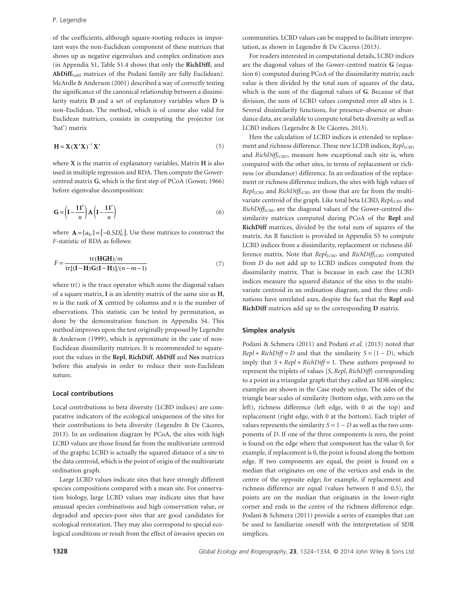of the coefficients, although square-rooting reduces in important ways the non-Euclidean component of these matrices that shows up as negative eigenvalues and complex ordination axes (in Appendix S1, Table S1.4 shows that only the **RichDiff**s and **AbDiff**%diff matrices of the Podani family are fully Euclidean). McArdle & Anderson (2001) described a way of correctly testing the significance of the canonical relationship between a dissimilarity matrix **D** and a set of explanatory variables when **D** is non-Euclidean. The method, which is of course also valid for Euclidean matrices, consists in computing the projector (or 'hat') matrix

$$
\mathbf{H} = \mathbf{X} (\mathbf{X}' \mathbf{X})^{-1} \mathbf{X'} \tag{5}
$$

where **X** is the matrix of explanatory variables. Matrix **H** is also used in multiple regression and RDA. Then compute the Gowercentred matrix **G**, which is the first step of PCoA (Gower, 1966) before eigenvalue decomposition:

$$
\mathbf{G} = \left(\mathbf{I} - \frac{\mathbf{11}'}{n}\right) \mathbf{A} \left(\mathbf{I} - \frac{\mathbf{11}'}{n}\right) \tag{6}
$$

where  $\mathbf{A} = [a_{hi}] = [-0.5D_{hi}^2]$ . Use these matrices to construct the *F*-statistic of RDA as follows:

$$
F = \frac{\text{tr}(\text{HGH})/m}{\text{tr}[(\text{I}-\text{H})\text{G}(\text{I}-\text{H})]/(n-m-1)}
$$
(7)

where tr() is the trace operator which sums the diagonal values of a square matrix, **I** is an identity matrix of the same size as **H**, *m* is the rank of **X** centred by columns and *n* is the number of observations. This statistic can be tested by permutation, as done by the demonstration function in Appendix S4. This method improves upon the test originally proposed by Legendre & Anderson (1999), which is approximate in the case of non-Euclidean dissimilarity matrices. It is recommended to squareroot the values in the **Repl**, **RichDiff**, **AbDiff** and **Nes** matrices before this analysis in order to reduce their non-Euclidean nature.

#### **Local contributions**

Local contributions to beta diversity (LCBD indices) are comparative indicators of the ecological uniqueness of the sites for their contributions to beta diversity (Legendre & De Cáceres, 2013). In an ordination diagram by PCoA, the sites with high LCBD values are those found far from the multivariate centroid of the graphs; LCBD is actually the squared distance of a site to the data centroid, which is the point of origin of the multivariate ordination graph.

Large LCBD values indicate sites that have strongly different species compositions compared with a mean site. For conservation biology, large LCBD values may indicate sites that have unusual species combinations and high conservation value, or degraded and species-poor sites that are good candidates for ecological restoration. They may also correspond to special ecological conditions or result from the effect of invasive species on communities. LCBD values can be mapped to facilitate interpretation, as shown in Legendre & De Cáceres (2013).

For readers interested in computational details, LCBD indices are the diagonal values of the Gower-centred matrix **G** (equation 6) computed during PCoA of the dissimilarity matrix; each value is then divided by the total sum of squares of the data, which is the sum of the diagonal values of **G**. Because of that division, the sum of LCBD values computed over all sites is 1. Several dissimilarity functions, for presence–absence or abundance data, are available to compute total beta diversity as well as LCBD indices (Legendre & De Cáceres, 2013).

Here the calculation of LCBD indices is extended to replacement and richness difference. These new LCDB indices, *Repl*<sub>LCBD</sub> and *RichDiff<sub>LCBD</sub>*, measure how exceptional each site is, when compared with the other sites, in terms of replacement or richness (or abundance) difference. In an ordination of the replacement or richness difference indices, the sites with high values of *Repl*LCBD and *RichDiff*LCBD are those that are far from the multivariate centroid of the graph. Like total beta LCBD, *Repl*LCBD and *RichDiffLCBD* are the diagonal values of the Gower-centred dissimilarity matrices computed during PCoA of the **Repl** and **RichDiff** matrices, divided by the total sum of squares of the matrix. An R function is provided in Appendix S5 to compute LCBD indices from a dissimilarity, replacement or richness difference matrix. Note that *Repl<sub>LCBD</sub>* and *RichDiff<sub>LCBD</sub>* computed from *D* do not add up to LCBD indices computed from the dissimilarity matrix. That is because in each case the LCBD indices measure the squared distance of the sites to the multivariate centroid in an ordination diagram, and the three ordinations have unrelated axes, despite the fact that the **Repl** and **RichDiff** matrices add up to the corresponding **D** matrix.

#### **Simplex analysis**

Podani & Schmera (2011) and Podani *et al*. (2013) noted that  $Repl + RichDiff = D$  and that the similarity  $S = (1 - D)$ , which imply that *S* + *Repl* + *RichDiff* = 1. These authors proposed to represent the triplets of values {*S*, *Repl*, *RichDiff*} corresponding to a point in a triangular graph that they called an SDR-simplex; examples are shown in the Case study section. The sides of the triangle bear scales of similarity (bottom edge, with zero on the left), richness difference (left edge, with 0 at the top) and replacement (right edge, with 0 at the bottom). Each triplet of values represents the similarity  $S = 1 - D$  as well as the two components of *D*. If one of the three components is zero, the point is found on the edge where that component has the value 0; for example, if replacement is 0, the point is found along the bottom edge. If two components are equal, the point is found on a median that originates on one of the vertices and ends in the centre of the opposite edge; for example, if replacement and richness difference are equal (values between 0 and 0.5), the points are on the median that originates in the lower-right corner and ends in the centre of the richness difference edge. Podani & Schmera (2011) provide a series of examples that can be used to familiarize oneself with the interpretation of SDR simplices.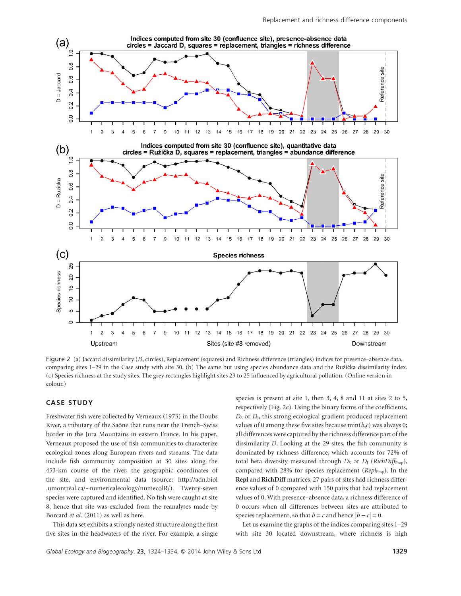

Figure 2 (a) Jaccard dissimilarity (*D*, circles), Replacement (squares) and Richness difference (triangles) indices for presence–absence data, comparing sites 1–29 in the Case study with site 30. (b) The same but using species abundance data and the Ružička dissimilarity index. (c) Species richness at the study sites. The grey rectangles highlight sites 23 to 25 influenced by agricultural pollution. (Online version in colour.)

## **CASE STUDY**

Freshwater fish were collected by Verneaux (1973) in the Doubs River, a tributary of the Saône that runs near the French–Swiss border in the Jura Mountains in eastern France. In his paper, Verneaux proposed the use of fish communities to characterize ecological zones along European rivers and streams. The data include fish community composition at 30 sites along the 453-km course of the river, the geographic coordinates of the site, and environmental data (source: http://adn.biol .umontreal.ca/~numericalecology/numecolR/). Twenty-seven species were captured and identified. No fish were caught at site 8, hence that site was excluded from the reanalyses made by Borcard *et al*. (2011) as well as here.

This data set exhibits a strongly nested structure along the first five sites in the headwaters of the river. For example, a single

species is present at site 1, then 3, 4, 8 and 11 at sites 2 to 5, respectively (Fig. 2c). Using the binary forms of the coefficients,  $D<sub>S</sub>$  or  $D<sub>I</sub>$ , this strong ecological gradient produced replacement values of 0 among these five sites because  $min(b, c)$  was always 0; all differences were captured by the richness difference part of the dissimilarity *D*. Looking at the 29 sites, the fish community is dominated by richness difference, which accounts for 72% of total beta diversity measured through *D*<sub>S</sub> or *D*<sub>J</sub> (*RichDiff*<sub>Prop</sub>), compared with 28% for species replacement (*Repl*<sub>Prop</sub>). In the **Repl** and **RichDiff** matrices, 27 pairs of sites had richness difference values of 0 compared with 150 pairs that had replacement values of 0. With presence–absence data, a richness difference of 0 occurs when all differences between sites are attributed to species replacement, so that *b* = *c* and hence  $|b - c| = 0$ .

Let us examine the graphs of the indices comparing sites 1–29 with site 30 located downstream, where richness is high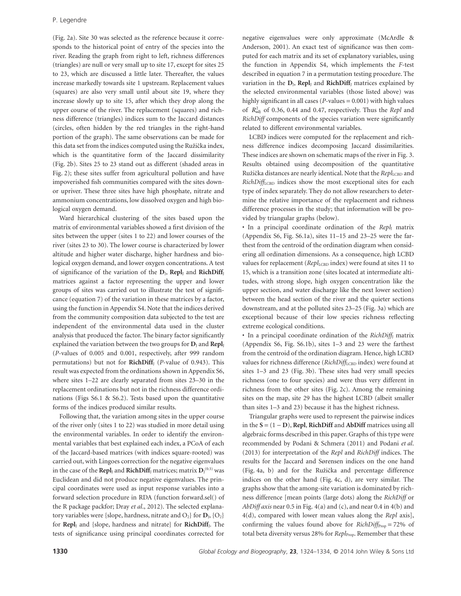(Fig. 2a). Site 30 was selected as the reference because it corresponds to the historical point of entry of the species into the river. Reading the graph from right to left, richness differences (triangles) are null or very small up to site 17, except for sites 25 to 23, which are discussed a little later. Thereafter, the values increase markedly towards site 1 upstream. Replacement values (squares) are also very small until about site 19, where they increase slowly up to site 15, after which they drop along the upper course of the river. The replacement (squares) and richness difference (triangles) indices sum to the Jaccard distances (circles, often hidden by the red triangles in the right-hand portion of the graph). The same observations can be made for this data set from the indices computed using the Ružička index, which is the quantitative form of the Jaccard dissimilarity (Fig. 2b). Sites 25 to 23 stand out as different (shaded areas in Fig. 2); these sites suffer from agricultural pollution and have impoverished fish communities compared with the sites downor upriver. These three sites have high phosphate, nitrate and ammonium concentrations, low dissolved oxygen and high biological oxygen demand.

Ward hierarchical clustering of the sites based upon the matrix of environmental variables showed a first division of the sites between the upper (sites 1 to 22) and lower courses of the river (sites 23 to 30). The lower course is characterized by lower altitude and higher water discharge, higher hardness and biological oxygen demand, and lower oxygen concentrations. A test of significance of the variation of the  $D<sub>I</sub>$ , **Repl**<sub>I</sub> and **RichDiff**<sub>I</sub> matrices against a factor representing the upper and lower groups of sites was carried out to illustrate the test of significance (equation 7) of the variation in these matrices by a factor, using the function in Appendix S4. Note that the indices derived from the community composition data subjected to the test are independent of the environmental data used in the cluster analysis that produced the factor. The binary factor significantly explained the variation between the two groups for  $D_J$  and **Repl**J (*P*-values of 0.005 and 0.001, respectively, after 999 random permutations) but not for **RichDiff**<sub>J</sub> (*P*-value of 0.943). This result was expected from the ordinations shown in Appendix S6, where sites 1–22 are clearly separated from sites 23–30 in the replacement ordinations but not in the richness difference ordinations (Figs S6.1 & S6.2). Tests based upon the quantitative forms of the indices produced similar results.

Following that, the variation among sites in the upper course of the river only (sites 1 to 22) was studied in more detail using the environmental variables. In order to identify the environmental variables that best explained each index, a PCoA of each of the Jaccard-based matrices (with indices square-rooted) was carried out, with Lingoes correction for the negative eigenvalues in the case of the **Repl**<sub>J</sub> and **RichDiff**<sub>J</sub> matrices; matrix  $D$ <sub>J</sub><sup>(0.5)</sup> was Euclidean and did not produce negative eigenvalues. The principal coordinates were used as input response variables into a forward selection procedure in RDA (function forward.sel() of the R package packfor; Dray *et al*., 2012). The selected explanatory variables were {slope, hardness, nitrate and  $O_2$ } for  $D_1$ ,  $\{O_2\}$ for **Repl**<sub>I</sub> and {slope, hardness and nitrate} for **RichDiff**<sub>I</sub>. The tests of significance using principal coordinates corrected for

negative eigenvalues were only approximate (McArdle & Anderson, 2001). An exact test of significance was then computed for each matrix and its set of explanatory variables, using the function in Appendix S4, which implements the *F*-test described in equation 7 in a permutation testing procedure. The variation in the  $D<sub>J</sub>$ , **Repl**<sub>J</sub> and **RichDiff**<sub>J</sub> matrices explained by the selected environmental variables (those listed above) was highly significant in all cases (*P*-values = 0.001) with high values of  $R_{\text{adj}}^2$  of 0.36, 0.44 and 0.47, respectively. Thus the *Repl* and *RichDiff* components of the species variation were significantly related to different environmental variables.

LCBD indices were computed for the replacement and richness difference indices decomposing Jaccard dissimilarities. These indices are shown on schematic maps of the river in Fig. 3. Results obtained using decomposition of the quantitative Ružička distances are nearly identical. Note that the *Repl<sub>LCBD</sub>* and *RichDiff*<sub>LCBD</sub> indices show the most exceptional sites for each type of index separately. They do not allow researchers to determine the relative importance of the replacement and richness difference processes in the study; that information will be provided by triangular graphs (below).

• In a principal coordinate ordination of the *Repl*<sub>J</sub> matrix (Appendix S6, Fig. S6.1a), sites 11–15 and 23–25 were the farthest from the centroid of the ordination diagram when considering all ordination dimensions. As a consequence, high LCBD values for replacement (*Repl*<sub>LCBD</sub> index) were found at sites 11 to 15, which is a transition zone (sites located at intermediate altitudes, with strong slope, high oxygen concentration like the upper section, and water discharge like the next lower section) between the head section of the river and the quieter sections downstream, and at the polluted sites 23–25 (Fig. 3a) which are exceptional because of their low species richness reflecting extreme ecological conditions.

• In a principal coordinate ordination of the *RichDiff<sub>J</sub>* matrix (Appendix S6, Fig. S6.1b), sites 1–3 and 23 were the farthest from the centroid of the ordination diagram. Hence, high LCBD values for richness difference (*RichDiff*<sub>LCBD</sub> index) were found at sites 1–3 and 23 (Fig. 3b). These sites had very small species richness (one to four species) and were thus very different in richness from the other sites (Fig. 2c). Among the remaining sites on the map, site 29 has the highest LCBD (albeit smaller than sites 1–3 and 23) because it has the highest richness.

Triangular graphs were used to represent the pairwise indices in the **S** = (1 − **D**), **Repl**, **RichDiff** and **AbDiff** matrices using all algebraic forms described in this paper. Graphs of this type were recommended by Podani & Schmera (2011) and Podani *et al*. (2013) for interpretation of the *Repl* and *RichDiff* indices. The results for the Jaccard and Sørensen indices on the one hand (Fig. 4a, b) and for the Ružička and percentage difference indices on the other hand (Fig. 4c, d), are very similar. The graphs show that the among-site variation is dominated by richness difference [mean points (large dots) along the *RichDiff* or *AbDiff axis* near 0.5 in Fig. 4(a) and (c), and near 0.4 in 4(b) and 4(d), compared with lower mean values along the *Repl* axis], confirming the values found above for *RichDiff*<sub>Prop</sub> = 72% of total beta diversity versus 28% for *Repl*<sub>Prop</sub>. Remember that these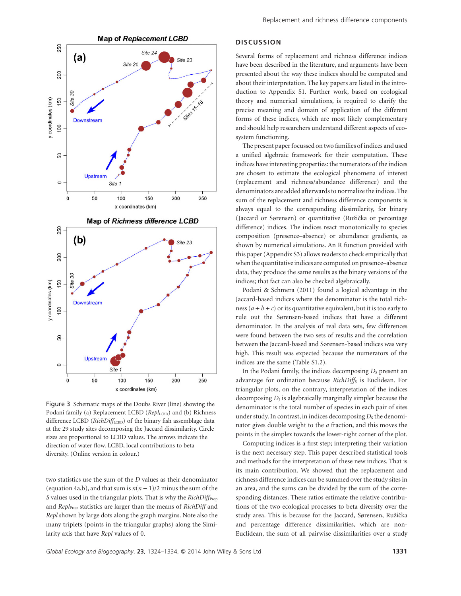

Figure 3 Schematic maps of the Doubs River (line) showing the Podani family (a) Replacement LCBD (*Repl<sub>LCBD</sub>*) and (b) Richness difference LCBD (*RichDiff<sub>LCBD</sub>*) of the binary fish assemblage data at the 29 study sites decomposing the Jaccard dissimilarity. Circle sizes are proportional to LCBD values. The arrows indicate the direction of water flow. LCBD, local contributions to beta diversity. (Online version in colour.)

two statistics use the sum of the *D* values as their denominator (equation 4a,b), and that sum is *n*(*n* − 1)/2 minus the sum of the *S* values used in the triangular plots. That is why the *RichDiff*<sub>Prop</sub> and *Repl*<sub>Prop</sub> statistics are larger than the means of *RichDiff* and *Repl* shown by large dots along the graph margins. Note also the many triplets (points in the triangular graphs) along the Similarity axis that have *Repl* values of 0.

## **DISCUSSION**

Several forms of replacement and richness difference indices have been described in the literature, and arguments have been presented about the way these indices should be computed and about their interpretation. The key papers are listed in the introduction to Appendix S1. Further work, based on ecological theory and numerical simulations, is required to clarify the precise meaning and domain of application of the different forms of these indices, which are most likely complementary and should help researchers understand different aspects of ecosystem functioning.

The present paper focussed on two families of indices and used a unified algebraic framework for their computation. These indices have interesting properties: the numerators of the indices are chosen to estimate the ecological phenomena of interest (replacement and richness/abundance difference) and the denominators are added afterwards to normalize the indices. The sum of the replacement and richness difference components is always equal to the corresponding dissimilarity, for binary (Jaccard or Sørensen) or quantitative (Ružička or percentage difference) indices. The indices react monotonically to species composition (presence–absence) or abundance gradients, as shown by numerical simulations. An R function provided with this paper (Appendix S3) allows readers to check empirically that when the quantitative indices are computed on presence–absence data, they produce the same results as the binary versions of the indices; that fact can also be checked algebraically.

Podani & Schmera (2011) found a logical advantage in the Jaccard-based indices where the denominator is the total richness  $(a + b + c)$  or its quantitative equivalent, but it is too early to rule out the Sørensen-based indices that have a different denominator. In the analysis of real data sets, few differences were found between the two sets of results and the correlation between the Jaccard-based and Sørensen-based indices was very high. This result was expected because the numerators of the indices are the same (Table S1.2).

In the Podani family, the indices decomposing  $D<sub>S</sub>$  present an advantage for ordination because *RichDiffs* is Euclidean. For triangular plots, on the contrary, interpretation of the indices decomposing  $D<sub>I</sub>$  is algebraically marginally simpler because the denominator is the total number of species in each pair of sites under study. In contrast, in indices decomposing  $D<sub>S</sub>$  the denominator gives double weight to the *a* fraction, and this moves the points in the simplex towards the lower-right corner of the plot.

Computing indices is a first step; interpreting their variation is the next necessary step. This paper described statistical tools and methods for the interpretation of these new indices. That is its main contribution. We showed that the replacement and richness difference indices can be summed over the study sites in an area, and the sums can be divided by the sum of the corresponding distances. These ratios estimate the relative contributions of the two ecological processes to beta diversity over the study area. This is because for the Jaccard, Sørensen, Ružička and percentage difference dissimilarities, which are non-Euclidean, the sum of all pairwise dissimilarities over a study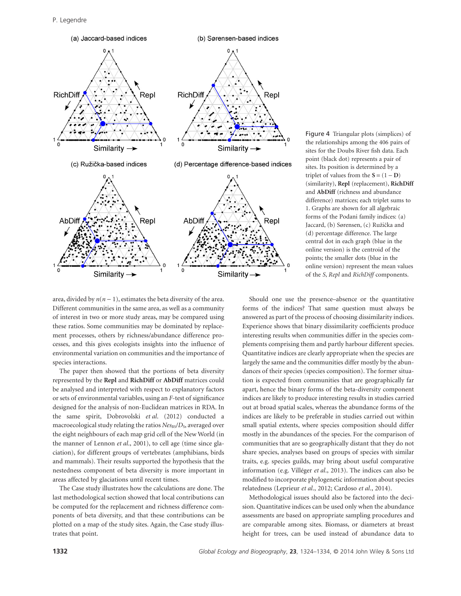

Figure 4 Triangular plots (simplices) of the relationships among the 406 pairs of sites for the Doubs River fish data. Each point (black dot) represents a pair of sites. Its position is determined by a triplet of values from the  $S = (1 − D)$ (similarity), **Repl** (replacement), **RichDiff** and **AbDiff** (richness and abundance difference) matrices; each triplet sums to 1. Graphs are shown for all algebraic forms of the Podani family indices: (a) Jaccard, (b) Sørensen, (c) Ružička and (d) percentage difference. The large central dot in each graph (blue in the online version) is the centroid of the points; the smaller dots (blue in the online version) represent the mean values of the *S*, *Repl* and *RichDiff* components.

area, divided by  $n(n-1)$ , estimates the beta diversity of the area. Different communities in the same area, as well as a community of interest in two or more study areas, may be compared using these ratios. Some communities may be dominated by replacement processes, others by richness/abundance difference processes, and this gives ecologists insights into the influence of environmental variation on communities and the importance of species interactions.

The paper then showed that the portions of beta diversity represented by the **Repl** and **RichDiff** or **AbDiff** matrices could be analysed and interpreted with respect to explanatory factors or sets of environmental variables, using an *F*-test of significance designed for the analysis of non-Euclidean matrices in RDA. In the same spirit, Dobrovolski *et al*. (2012) conducted a macroecological study relating the ratios *Nes*<sub>BS</sub>/D<sub>S</sub>, averaged over the eight neighbours of each map grid cell of the New World (in the manner of Lennon *et al*., 2001), to cell age (time since glaciation), for different groups of vertebrates (amphibians, birds and mammals). Their results supported the hypothesis that the nestedness component of beta diversity is more important in areas affected by glaciations until recent times.

The Case study illustrates how the calculations are done. The last methodological section showed that local contributions can be computed for the replacement and richness difference components of beta diversity, and that these contributions can be plotted on a map of the study sites. Again, the Case study illustrates that point.

Should one use the presence–absence or the quantitative forms of the indices? That same question must always be answered as part of the process of choosing dissimilarity indices. Experience shows that binary dissimilarity coefficients produce interesting results when communities differ in the species complements comprising them and partly harbour different species. Quantitative indices are clearly appropriate when the species are largely the same and the communities differ mostly by the abundances of their species (species composition). The former situation is expected from communities that are geographically far apart, hence the binary forms of the beta-diversity component indices are likely to produce interesting results in studies carried out at broad spatial scales, whereas the abundance forms of the indices are likely to be preferable in studies carried out within small spatial extents, where species composition should differ mostly in the abundances of the species. For the comparison of communities that are so geographically distant that they do not share species, analyses based on groups of species with similar traits, e.g. species guilds, may bring about useful comparative information (e.g. Villéger *et al*., 2013). The indices can also be modified to incorporate phylogenetic information about species relatedness (Leprieur *et al*., 2012; Cardoso *et al*., 2014).

Methodological issues should also be factored into the decision. Quantitative indices can be used only when the abundance assessments are based on appropriate sampling procedures and are comparable among sites. Biomass, or diameters at breast height for trees, can be used instead of abundance data to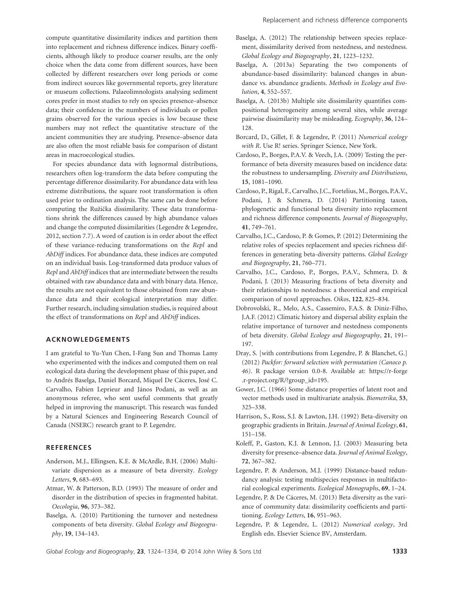compute quantitative dissimilarity indices and partition them into replacement and richness difference indices. Binary coefficients, although likely to produce coarser results, are the only choice when the data come from different sources, have been collected by different researchers over long periods or come from indirect sources like governmental reports, grey literature or museum collections. Palaeolimnologists analysing sediment cores prefer in most studies to rely on species presence–absence data; their confidence in the numbers of individuals or pollen grains observed for the various species is low because these numbers may not reflect the quantitative structure of the ancient communities they are studying. Presence–absence data are also often the most reliable basis for comparison of distant areas in macroecological studies.

For species abundance data with lognormal distributions, researchers often log-transform the data before computing the percentage difference dissimilarity. For abundance data with less extreme distributions, the square root transformation is often used prior to ordination analysis. The same can be done before computing the Ružička dissimilarity. These data transformations shrink the differences caused by high abundance values and change the computed dissimilarities (Legendre & Legendre, 2012, section 7.7). A word of caution is in order about the effect of these variance-reducing transformations on the *Repl* and *AbDiff* indices. For abundance data, these indices are computed on an individual basis. Log-transformed data produce values of *Repl* and *AbDiff* indices that are intermediate between the results obtained with raw abundance data and with binary data. Hence, the results are not equivalent to those obtained from raw abundance data and their ecological interpretation may differ. Further research, including simulation studies, is required about the effect of transformations on *Repl* and *AbDiff* indices.

## **ACKNOWLEDGEMENTS**

I am grateful to Yu-Yun Chen, I-Fang Sun and Thomas Lamy who experimented with the indices and computed them on real ecological data during the development phase of this paper, and to Andrés Baselga, Daniel Borcard, Miquel De Cáceres, José C. Carvalho, Fabien Leprieur and János Podani, as well as an anonymous referee, who sent useful comments that greatly helped in improving the manuscript. This research was funded by a Natural Sciences and Engineering Research Council of Canada (NSERC) research grant to P. Legendre.

#### **REFERENCES**

- Anderson, M.J., Ellingsen, K.E. & McArdle, B.H. (2006) Multivariate dispersion as a measure of beta diversity. *Ecology Letters*, **9**, 683–693.
- Atmar, W. & Patterson, B.D. (1993) The measure of order and disorder in the distribution of species in fragmented habitat. *Oecologia*, **96**, 373–382.
- Baselga, A. (2010) Partitioning the turnover and nestedness components of beta diversity. *Global Ecology and Biogeography*, **19**, 134–143.
- Baselga, A. (2012) The relationship between species replacement, dissimilarity derived from nestedness, and nestedness. *Global Ecology and Biogeography*, **21**, 1223–1232.
- Baselga, A. (2013a) Separating the two components of abundance-based dissimilarity: balanced changes in abundance vs. abundance gradients. *Methods in Ecology and Evolution*, **4**, 552–557.
- Baselga, A. (2013b) Multiple site dissimilarity quantifies compositional heterogeneity among several sites, while average pairwise dissimilarity may be misleading. *Ecography*, **36**, 124– 128.
- Borcard, D., Gillet, F. & Legendre, P. (2011) *Numerical ecology with R*. Use R! series. Springer Science, New York.
- Cardoso, P., Borges, P.A.V. & Veech, J.A. (2009) Testing the performance of beta diversity measures based on incidence data: the robustness to undersampling. *Diversity and Distributions*, **15**, 1081–1090.
- Cardoso, P., Rigal, F., Carvalho, J.C., Fortelius, M., Borges, P.A.V., Podani, J. & Schmera, D. (2014) Partitioning taxon, phylogenetic and functional beta diversity into replacement and richness difference components. *Journal of Biogeography*, **41**, 749–761.
- Carvalho, J.C., Cardoso, P. & Gomes, P. (2012) Determining the relative roles of species replacement and species richness differences in generating beta-diversity patterns. *Global Ecology and Biogeography*, **21**, 760–771.
- Carvalho, J.C., Cardoso, P., Borges, P.A.V., Schmera, D. & Podani, J. (2013) Measuring fractions of beta diversity and their relationships to nestedness: a theoretical and empirical comparison of novel approaches. *Oikos*, **122**, 825–834.
- Dobrovolski, R., Melo, A.S., Cassemiro, F.A.S. & Diniz-Filho, J.A.F. (2012) Climatic history and dispersal ability explain the relative importance of turnover and nestedness components of beta diversity. *Global Ecology and Biogeography*, **21**, 191– 197.
- Dray, S. [with contributions from Legendre, P. & Blanchet, G.] (2012) *Packfor: forward selection with permutation (Canoco p. 46)*. R package version 0.0-8. Available at: https://r-forge .r-project.org/R/?group\_id=195.
- Gower, J.C. (1966) Some distance properties of latent root and vector methods used in multivariate analysis. *Biometrika*, **53**, 325–338.
- Harrison, S., Ross, S.J. & Lawton, J.H. (1992) Beta-diversity on geographic gradients in Britain. *Journal of Animal Ecology*, **61**, 151–158.
- Koleff, P., Gaston, K.J. & Lennon, J.J. (2003) Measuring beta diversity for presence–absence data.*Journal of Animal Ecology*, **72**, 367–382.
- Legendre, P. & Anderson, M.J. (1999) Distance-based redundancy analysis: testing multispecies responses in multifactorial ecological experiments. *Ecological Monographs*, **69**, 1–24.
- Legendre, P. & De Cáceres, M. (2013) Beta diversity as the variance of community data: dissimilarity coefficients and partitioning. *Ecology Letters*, **16**, 951–963.
- Legendre, P. & Legendre, L. (2012) *Numerical ecology*, 3rd English edn. Elsevier Science BV, Amsterdam.